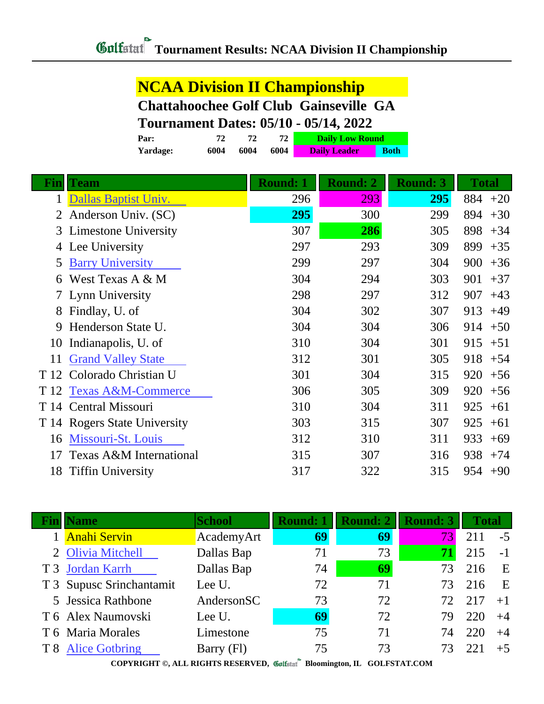#### **NCAA Division II Championship Chattahoochee Golf Club Gainseville GA Tournament Dates: 05/10 - 05/14, 2022**

| Par:     |      |      | 72.  | <b>Daily Low Round</b> |             |
|----------|------|------|------|------------------------|-------------|
| Yardage: | 6004 | 6004 | 6004 | <b>Daily Leader</b>    | <b>Both</b> |
|          |      |      |      |                        |             |

| <b>Team</b>                   | <b>Round: 1</b>                                                                                            | <b>Round: 2</b> | <b>Round: 3</b> | <b>Total</b> |
|-------------------------------|------------------------------------------------------------------------------------------------------------|-----------------|-----------------|--------------|
| Dallas Baptist Univ.          | 296                                                                                                        | 293             | 295             | $884 + 20$   |
| Anderson Univ. (SC)           | 295                                                                                                        | 300             | 299             | 894<br>$+30$ |
| Limestone University          | 307                                                                                                        | 286             | 305             | 898<br>$+34$ |
| Lee University                | 297                                                                                                        | 293             | 309             | 899<br>$+35$ |
| <b>Barry University</b>       | 299                                                                                                        | 297             | 304             | 900<br>$+36$ |
| West Texas A & M              | 304                                                                                                        | 294             | 303             | 901<br>$+37$ |
|                               | 298                                                                                                        | 297             | 312             | 907<br>$+43$ |
| Findlay, U. of                | 304                                                                                                        | 302             | 307             | 913<br>$+49$ |
| Henderson State U.            | 304                                                                                                        | 304             | 306             | 914<br>$+50$ |
| Indianapolis, U. of           | 310                                                                                                        | 304             | 301             | 915<br>$+51$ |
| <b>Grand Valley State</b>     | 312                                                                                                        | 301             | 305             | 918<br>$+54$ |
|                               | 301                                                                                                        | 304             | 315             | 920<br>$+56$ |
| <b>Texas A&amp;M-Commerce</b> | 306                                                                                                        | 305             | 309             | 920<br>$+56$ |
|                               | 310                                                                                                        | 304             | 311             | 925<br>$+61$ |
|                               | 303                                                                                                        | 315             | 307             | 925<br>$+61$ |
| Missouri-St. Louis            | 312                                                                                                        | 310             | 311             | 933<br>$+69$ |
| Texas A&M International       | 315                                                                                                        | 307             | 316             | 938<br>$+74$ |
| <b>Tiffin University</b>      | 317                                                                                                        | 322             | 315             | 954<br>$+90$ |
| T 12                          | 7 Lynn University<br>Colorado Christian U<br>T 12<br>T 14 Central Missouri<br>T 14 Rogers State University |                 |                 |              |

| Fin | <b>Name</b>              | <b>School</b> | <b>Round: 1</b> | <b>Round: 2</b> | <b>Round: 3</b> | <b>Total</b> |      |
|-----|--------------------------|---------------|-----------------|-----------------|-----------------|--------------|------|
|     | <b>Anahi Servin</b>      | AcademyArt    | 69              | 69              | 73              | 211          | $-5$ |
|     | 2 Olivia Mitchell        | Dallas Bap    | 71              | 73              | 71              | 215          | $-1$ |
|     | T 3 Jordan Karrh         | Dallas Bap    | 74              | 69              | 73              | 216          | E    |
|     | T 3 Supusc Srinchantamit | Lee U.        | 72              | 71              | 73              | 216          | E    |
|     | 5 Jessica Rathbone       | AndersonSC    | 73              | 72              | 72              | 217          | $+1$ |
|     | T 6 Alex Naumovski       | Lee U.        | 69              | 72              | 79              | 220          | $+4$ |
|     | T 6 Maria Morales        | Limestone     | 75              | 71              | 74              | 220          | $+4$ |
|     | T 8 Alice Gotbring       | Barry (Fl)    | 75              | 73              |                 | 22.1         | $+5$ |
|     |                          |               | $\mathbf{a}$    |                 |                 |              |      |

**COPYRIGHT ©, ALL RIGHTS RESERVED, Bloomington, IL GOLFSTAT.COM**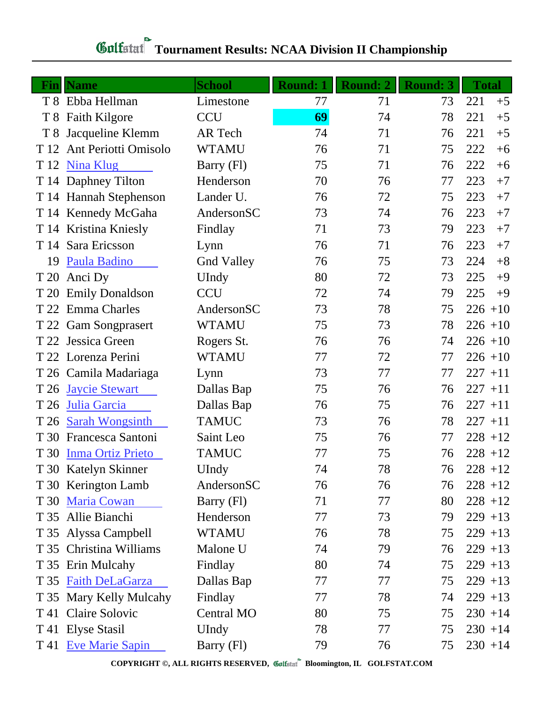# **Gulfatat** Tournament Results: NCAA Division II Championship

|                | <b>Fin</b>   Name        | <b>School</b>     | <b>Round: 1</b> | <b>Round: 2</b> | <b>Round: 3</b> | <b>Total</b> |
|----------------|--------------------------|-------------------|-----------------|-----------------|-----------------|--------------|
|                | T 8 Ebba Hellman         | Limestone         | 77              | 71              | 73              | 221<br>$+5$  |
|                | T 8 Faith Kilgore        | <b>CCU</b>        | 69              | 74              | 78              | 221<br>$+5$  |
| T <sub>8</sub> | Jacqueline Klemm         | AR Tech           | 74              | 71              | 76              | 221<br>$+5$  |
| T 12           | Ant Periotti Omisolo     | <b>WTAMU</b>      | 76              | 71              | 75              | 222<br>$+6$  |
|                | T 12 Nina Klug           | Barry (Fl)        | 75              | 71              | 76              | 222<br>$+6$  |
|                | T 14 Daphney Tilton      | Henderson         | 70              | 76              | 77              | 223<br>$+7$  |
|                | T 14 Hannah Stephenson   | Lander U.         | 76              | 72              | 75              | 223<br>$+7$  |
|                | T 14 Kennedy McGaha      | AndersonSC        | 73              | 74              | 76              | 223<br>$+7$  |
|                | T 14 Kristina Kniesly    | Findlay           | 71              | 73              | 79              | 223<br>$+7$  |
| T 14           | Sara Ericsson            | Lynn              | 76              | 71              | 76              | 223<br>$+7$  |
| 19             | Paula Badino             | <b>Gnd Valley</b> | 76              | 75              | 73              | 224<br>$+8$  |
| T 20           | Anci Dy                  | UIndy             | 80              | 72              | 73              | 225<br>$+9$  |
| T 20           | <b>Emily Donaldson</b>   | <b>CCU</b>        | 72              | 74              | 79              | 225<br>$+9$  |
| T 22           | <b>Emma Charles</b>      | AndersonSC        | 73              | 78              | 75              | $226 + 10$   |
| T 22           | <b>Gam Songprasert</b>   | <b>WTAMU</b>      | 75              | 73              | 78              | $226 + 10$   |
|                | T 22 Jessica Green       | Rogers St.        | 76              | 76              | 74              | $226 + 10$   |
|                | T 22 Lorenza Perini      | <b>WTAMU</b>      | 77              | 72              | 77              | $226 + 10$   |
|                | T 26 Camila Madariaga    | Lynn              | 73              | 77              | 77              | $227 + 11$   |
| T 26           | <b>Jaycie Stewart</b>    | Dallas Bap        | 75              | 76              | 76              | $227 + 11$   |
| T 26           | Julia Garcia             | Dallas Bap        | 76              | 75              | 76              | $227 + 11$   |
| T 26           | <b>Sarah Wongsinth</b>   | <b>TAMUC</b>      | 73              | 76              | 78              | $227 + 11$   |
| T 30           | Francesca Santoni        | Saint Leo         | 75              | 76              | 77              | $228 + 12$   |
| T 30           | <b>Inma Ortiz Prieto</b> | <b>TAMUC</b>      | 77              | 75              | 76              | $228 + 12$   |
|                | T 30 Katelyn Skinner     | <b>UIndy</b>      | 74              | 78              | 76              | $228 + 12$   |
|                | T 30 Kerington Lamb      | AndersonSC        | 76              | 76              | 76              | $228 + 12$   |
|                | T 30 Maria Cowan         | Barry (Fl)        | 71              | 77              | 80              | $228 + 12$   |
|                | T 35 Allie Bianchi       | Henderson         | 77              | 73              | 79              | $229 + 13$   |
|                | T 35 Alyssa Campbell     | <b>WTAMU</b>      | 76              | 78              | 75              | $229 + 13$   |
|                | T 35 Christina Williams  | Malone U          | 74              | 79              | 76              | $229 + 13$   |
|                | T 35 Erin Mulcahy        | Findlay           | 80              | 74              | 75              | $229 + 13$   |
|                | T 35 Faith DeLaGarza     | Dallas Bap        | 77              | 77              | 75              | $229 + 13$   |
|                | T 35 Mary Kelly Mulcahy  | Findlay           | 77              | 78              | 74              | $229 + 13$   |
| T 41           | Claire Solovic           | <b>Central MO</b> | 80              | 75              | 75              | $230 + 14$   |
|                | T 41 Elyse Stasil        | <b>UIndy</b>      | 78              | 77              | 75              | $230 + 14$   |
|                | T 41 Eve Marie Sapin     | Barry (Fl)        | 79              | 76              | 75              | $230 + 14$   |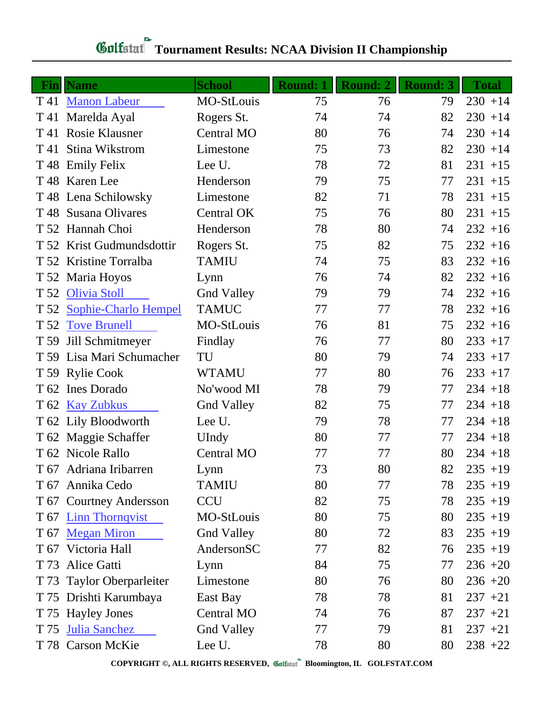#### **Fin Name School Round: 1 Round: 2 Round: 3 Total** T 41 [Manon Labeur](http://www.golfstat.com/ultimate/W334web/W334index.htm?p=G) MO-StLouis 75 76 79 230 +14 T 41 Marelda Ayal Rogers St. 74 74 82 230 +14 T 41 Rosie Klausner Central MO 80 76 74 230 +14 T 41 Stina Wikstrom Limestone 75 73 82 230 +14 T 48 Emily Felix Lee U. 231 +15 T 48 Karen Lee Henderson 79 75 77 231 +15 T 48 Lena Schilowsky Limestone 82 71 78 231 +15  $T\,48$  Susana Olivares Central OK  $75$   $76$   $80$   $231$   $+15$ T 52 Hannah Choi **Henderson** 78 80 74 232 +16 T 52 Krist Gudmundsdottir Rogers St. 75 82 75 232 +16 T 52 Kristine Torralba TAMIU 74 75 83 232 +16 T 52 Maria Hoyos Lynn 76 74 82 232 +16 T 52 [Olivia Stoll](http://www.golfstat.com/ultimate/W207web/W207index.htm?p=L) Gnd Valley 79 79 74 232 +16 T 52 [Sophie-Charlo Hempel](http://www.golfstat.com/ultimate/W273web/W273index.htm?p=A) TAMUC 77 77 78 232 +16 T 52 [Tove Brunell](http://www.golfstat.com/ultimate/W334web/W334index.htm?p=L) MO-StLouis 76 81 75 232 +16 T 59 Jill Schmitmeyer Findlay 76 77 80 233 +17 T 59 Lisa Mari Schumacher TU 80 79 74 233 +17 T 59 Rylie Cook WTAMU 77 80 76 233 +17 T 62 Ines Dorado No'wood MI 78 79 77 234 +18 T 62 [Kay Zubkus](http://www.golfstat.com/ultimate/W207web/W207index.htm?p=K) Gnd Valley 82 75 77 234 +18 T 62 Lily Bloodworth Lee U. 79 78 77 234 +18 T 62 Maggie Schaffer UIndy 80 77 77 234 +18 T 62 Nicole Rallo Central MO 77 7 80 234 +18 T 67 Adriana Iribarren Lynn 73 80 82 235 +19 T 67 Annika Cedo TAMIU 80 77 78 235 +19 T 67 Courtney Andersson CCU 82 75 78 235 +19 T 67 [Linn Thornqvist](http://www.golfstat.com/ultimate/W334web/W334index.htm?p=K) MO-StLouis 80 75 80 235 +19 T 67 [Megan Miron](http://www.golfstat.com/ultimate/W207web/W207index.htm?p=J) Gnd Valley 80 72 83 235 +19 T 67 Victoria Hall Anderson SC 77 82 76 235 +19 T 73 Alice Gatti Lynn 84 75 77 236 +20 T 73 Taylor Oberparleiter Limestone 80 76 80 236 +20 T 75 Drishti Karumbaya East Bay 78 78 81 237 +21 T 75 Hayley Jones Central MO 74 76 87 237 +21  $T 75$  [Julia Sanchez](http://www.golfstat.com/ultimate/W207web/W207index.htm?p=I) Gnd Valley  $77$   $79$   $81$   $237$   $+21$ T 78 Carson McKie Lee U. 78 80 80 238 +22

### **Tournament Results: NCAA Division II Championship**

**COPYRIGHT ©, ALL RIGHTS RESERVED, Bloomington, IL GOLFSTAT.COM**